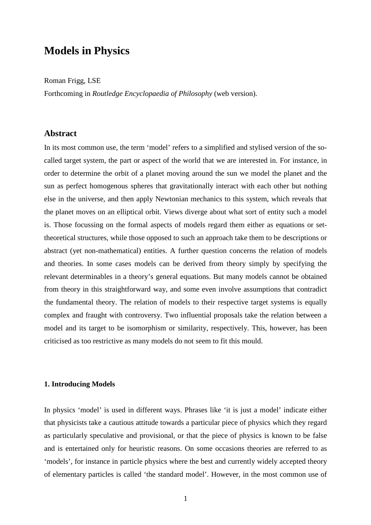# **Models in Physics**

Roman Frigg, LSE

Forthcoming in *Routledge Encyclopaedia of Philosophy* (web version).

# **Abstract**

In its most common use, the term 'model' refers to a simplified and stylised version of the socalled target system, the part or aspect of the world that we are interested in. For instance, in order to determine the orbit of a planet moving around the sun we model the planet and the sun as perfect homogenous spheres that gravitationally interact with each other but nothing else in the universe, and then apply Newtonian mechanics to this system, which reveals that the planet moves on an elliptical orbit. Views diverge about what sort of entity such a model is. Those focussing on the formal aspects of models regard them either as equations or settheoretical structures, while those opposed to such an approach take them to be descriptions or abstract (yet non-mathematical) entities. A further question concerns the relation of models and theories. In some cases models can be derived from theory simply by specifying the relevant determinables in a theory's general equations. But many models cannot be obtained from theory in this straightforward way, and some even involve assumptions that contradict the fundamental theory. The relation of models to their respective target systems is equally complex and fraught with controversy. Two influential proposals take the relation between a model and its target to be isomorphism or similarity, respectively. This, however, has been criticised as too restrictive as many models do not seem to fit this mould.

# **1. Introducing Models**

In physics 'model' is used in different ways. Phrases like 'it is just a model' indicate either that physicists take a cautious attitude towards a particular piece of physics which they regard as particularly speculative and provisional, or that the piece of physics is known to be false and is entertained only for heuristic reasons. On some occasions theories are referred to as 'models', for instance in particle physics where the best and currently widely accepted theory of elementary particles is called 'the standard model'. However, in the most common use of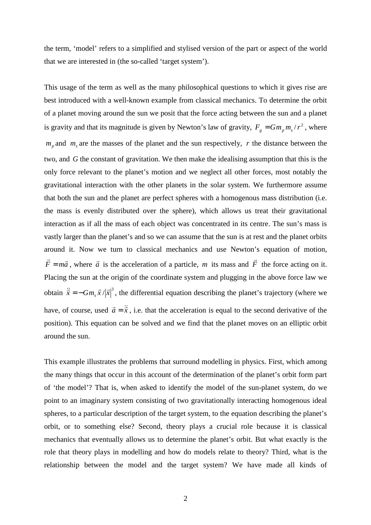the term, 'model' refers to a simplified and stylised version of the part or aspect of the world that we are interested in (the so-called 'target system').

This usage of the term as well as the many philosophical questions to which it gives rise are best introduced with a well-known example from classical mechanics. To determine the orbit of a planet moving around the sun we posit that the force acting between the sun and a planet is gravity and that its magnitude is given by Newton's law of gravity,  $F_g = Gm_p m_s / r^2$ , where  $m_p$  and  $m_s$  are the masses of the planet and the sun respectively, *r* the distance between the two, and *G* the constant of gravitation. We then make the idealising assumption that this is the only force relevant to the planet's motion and we neglect all other forces, most notably the gravitational interaction with the other planets in the solar system. We furthermore assume that both the sun and the planet are perfect spheres with a homogenous mass distribution (i.e. the mass is evenly distributed over the sphere), which allows us treat their gravitational interaction as if all the mass of each object was concentrated in its centre. The sun's mass is vastly larger than the planet's and so we can assume that the sun is at rest and the planet orbits around it. Now we turn to classical mechanics and use Newton's equation of motion, *F ma*  $\vec{r}$  $= m\vec{a}$ , where  $\vec{a}$  $\rightarrow$  is the acceleration of a particle, *m* its mass and *F*  $\rightarrow$  the force acting on it. Placing the sun at the origin of the coordinate system and plugging in the above force law we obtain  $\ddot{\vec{x}} = -Gm_s \vec{x}/|\vec{x}|^3$  $\ddot{\vec{x}} = -Gm \vec{x}/|\vec{x}|$  $=-Gm_{s}\vec{x}/|\vec{x}|^{3}$ , the differential equation describing the planet's trajectory (where we have, of course, used  $\vec{a} = \ddot{\vec{x}}$  $=\vec{x}$ , i.e. that the acceleration is equal to the second derivative of the position). This equation can be solved and we find that the planet moves on an elliptic orbit around the sun.

This example illustrates the problems that surround modelling in physics. First, which among the many things that occur in this account of the determination of the planet's orbit form part of 'the model'? That is, when asked to identify the model of the sun-planet system, do we point to an imaginary system consisting of two gravitationally interacting homogenous ideal spheres, to a particular description of the target system, to the equation describing the planet's orbit, or to something else? Second, theory plays a crucial role because it is classical mechanics that eventually allows us to determine the planet's orbit. But what exactly is the role that theory plays in modelling and how do models relate to theory? Third, what is the relationship between the model and the target system? We have made all kinds of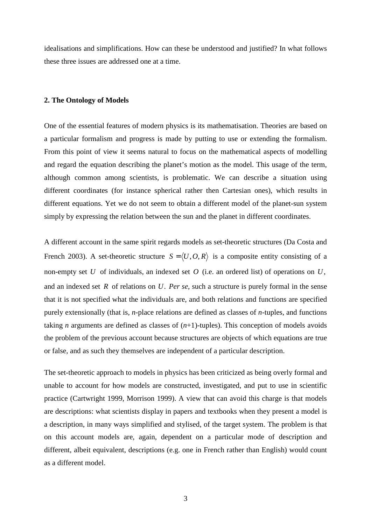idealisations and simplifications. How can these be understood and justified? In what follows these three issues are addressed one at a time.

#### **2. The Ontology of Models**

One of the essential features of modern physics is its mathematisation. Theories are based on a particular formalism and progress is made by putting to use or extending the formalism. From this point of view it seems natural to focus on the mathematical aspects of modelling and regard the equation describing the planet's motion as the model. This usage of the term, although common among scientists, is problematic. We can describe a situation using different coordinates (for instance spherical rather then Cartesian ones), which results in different equations. Yet we do not seem to obtain a different model of the planet-sun system simply by expressing the relation between the sun and the planet in different coordinates.

A different account in the same spirit regards models as set-theoretic structures (Da Costa and French 2003). A set-theoretic structure  $S = \langle U, O, R \rangle$  is a composite entity consisting of a non-empty set *U* of individuals, an indexed set *O* (i.e. an ordered list) of operations on *U*, and an indexed set *R* of relations on *U*. *Per se*, such a structure is purely formal in the sense that it is not specified what the individuals are, and both relations and functions are specified purely extensionally (that is, *n*-place relations are defined as classes of *n*-tuples, and functions taking *n* arguments are defined as classes of  $(n+1)$ -tuples). This conception of models avoids the problem of the previous account because structures are objects of which equations are true or false, and as such they themselves are independent of a particular description.

The set-theoretic approach to models in physics has been criticized as being overly formal and unable to account for how models are constructed, investigated, and put to use in scientific practice (Cartwright 1999, Morrison 1999). A view that can avoid this charge is that models are descriptions: what scientists display in papers and textbooks when they present a model is a description, in many ways simplified and stylised, of the target system. The problem is that on this account models are, again, dependent on a particular mode of description and different, albeit equivalent, descriptions (e.g. one in French rather than English) would count as a different model.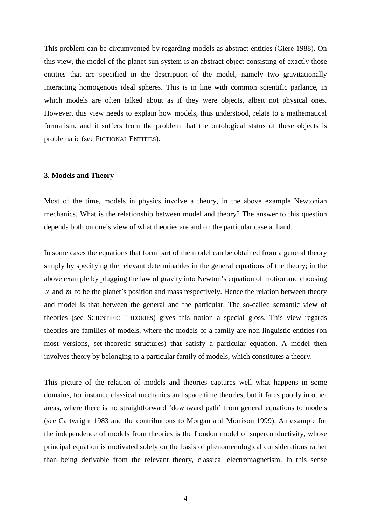This problem can be circumvented by regarding models as abstract entities (Giere 1988). On this view, the model of the planet-sun system is an abstract object consisting of exactly those entities that are specified in the description of the model, namely two gravitationally interacting homogenous ideal spheres. This is in line with common scientific parlance, in which models are often talked about as if they were objects, albeit not physical ones. However, this view needs to explain how models, thus understood, relate to a mathematical formalism, and it suffers from the problem that the ontological status of these objects is problematic (see FICTIONAL ENTITIES).

#### **3. Models and Theory**

Most of the time, models in physics involve a theory, in the above example Newtonian mechanics. What is the relationship between model and theory? The answer to this question depends both on one's view of what theories are and on the particular case at hand.

In some cases the equations that form part of the model can be obtained from a general theory simply by specifying the relevant determinables in the general equations of the theory; in the above example by plugging the law of gravity into Newton's equation of motion and choosing *x* and *m* to be the planet's position and mass respectively. Hence the relation between theory and model is that between the general and the particular. The so-called semantic view of theories (see SCIENTIFIC THEORIES) gives this notion a special gloss. This view regards theories are families of models, where the models of a family are non-linguistic entities (on most versions, set-theoretic structures) that satisfy a particular equation. A model then involves theory by belonging to a particular family of models, which constitutes a theory.

This picture of the relation of models and theories captures well what happens in some domains, for instance classical mechanics and space time theories, but it fares poorly in other areas, where there is no straightforward 'downward path' from general equations to models (see Cartwright 1983 and the contributions to Morgan and Morrison 1999). An example for the independence of models from theories is the London model of superconductivity, whose principal equation is motivated solely on the basis of phenomenological considerations rather than being derivable from the relevant theory, classical electromagnetism. In this sense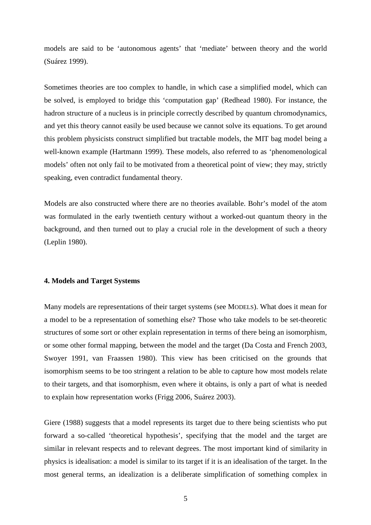models are said to be 'autonomous agents' that 'mediate' between theory and the world (Suárez 1999).

Sometimes theories are too complex to handle, in which case a simplified model, which can be solved, is employed to bridge this 'computation gap' (Redhead 1980). For instance, the hadron structure of a nucleus is in principle correctly described by quantum chromodynamics, and yet this theory cannot easily be used because we cannot solve its equations. To get around this problem physicists construct simplified but tractable models, the MIT bag model being a well-known example (Hartmann 1999). These models, also referred to as 'phenomenological models' often not only fail to be motivated from a theoretical point of view; they may, strictly speaking, even contradict fundamental theory.

Models are also constructed where there are no theories available. Bohr's model of the atom was formulated in the early twentieth century without a worked-out quantum theory in the background, and then turned out to play a crucial role in the development of such a theory (Leplin 1980).

# **4. Models and Target Systems**

Many models are representations of their target systems (see MODELS). What does it mean for a model to be a representation of something else? Those who take models to be set-theoretic structures of some sort or other explain representation in terms of there being an isomorphism, or some other formal mapping, between the model and the target (Da Costa and French 2003, Swoyer 1991, van Fraassen 1980). This view has been criticised on the grounds that isomorphism seems to be too stringent a relation to be able to capture how most models relate to their targets, and that isomorphism, even where it obtains, is only a part of what is needed to explain how representation works (Frigg 2006, Suárez 2003).

Giere (1988) suggests that a model represents its target due to there being scientists who put forward a so-called 'theoretical hypothesis', specifying that the model and the target are similar in relevant respects and to relevant degrees. The most important kind of similarity in physics is idealisation: a model is similar to its target if it is an idealisation of the target. In the most general terms, an idealization is a deliberate simplification of something complex in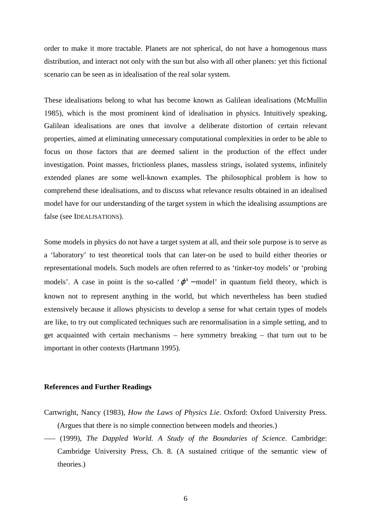order to make it more tractable. Planets are not spherical, do not have a homogenous mass distribution, and interact not only with the sun but also with all other planets: yet this fictional scenario can be seen as in idealisation of the real solar system.

These idealisations belong to what has become known as Galilean idealisations (McMullin 1985), which is the most prominent kind of idealisation in physics. Intuitively speaking, Galilean idealisations are ones that involve a deliberate distortion of certain relevant properties, aimed at eliminating unnecessary computational complexities in order to be able to focus on those factors that are deemed salient in the production of the effect under investigation. Point masses, frictionless planes, massless strings, isolated systems, infinitely extended planes are some well-known examples. The philosophical problem is how to comprehend these idealisations, and to discuss what relevance results obtained in an idealised model have for our understanding of the target system in which the idealising assumptions are false (see IDEALISATIONS).

Some models in physics do not have a target system at all, and their sole purpose is to serve as a 'laboratory' to test theoretical tools that can later-on be used to build either theories or representational models. Such models are often referred to as 'tinker-toy models' or 'probing models'. A case in point is the so-called ' $\varphi^4$  – model' in quantum field theory, which is known not to represent anything in the world, but which nevertheless has been studied extensively because it allows physicists to develop a sense for what certain types of models are like, to try out complicated techniques such are renormalisation in a simple setting, and to get acquainted with certain mechanisms – here symmetry breaking – that turn out to be important in other contexts (Hartmann 1995).

# **References and Further Readings**

- Cartwright, Nancy (1983), *How the Laws of Physics Lie*. Oxford: Oxford University Press. (Argues that there is no simple connection between models and theories.)
- ––– (1999), *The Dappled World. A Study of the Boundaries of Science*. Cambridge: Cambridge University Press, Ch. 8. (A sustained critique of the semantic view of theories.)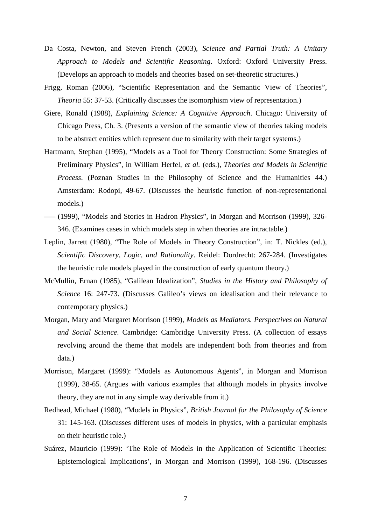- Da Costa, Newton, and Steven French (2003), *Science and Partial Truth: A Unitary Approach to Models and Scientific Reasoning*. Oxford: Oxford University Press. (Develops an approach to models and theories based on set-theoretic structures.)
- Frigg, Roman (2006), "Scientific Representation and the Semantic View of Theories", *Theoria* 55: 37-53. (Critically discusses the isomorphism view of representation.)
- Giere, Ronald (1988), *Explaining Science: A Cognitive Approach*. Chicago: University of Chicago Press, Ch. 3. (Presents a version of the semantic view of theories taking models to be abstract entities which represent due to similarity with their target systems.)
- Hartmann, Stephan (1995), "Models as a Tool for Theory Construction: Some Strategies of Preliminary Physics", in William Herfel, *et al.* (eds.), *Theories and Models in Scientific Process*. (Poznan Studies in the Philosophy of Science and the Humanities 44.) Amsterdam: Rodopi, 49-67. (Discusses the heuristic function of non-representational models.)
- ––– (1999), "Models and Stories in Hadron Physics", in Morgan and Morrison (1999), 326- 346. (Examines cases in which models step in when theories are intractable.)
- Leplin, Jarrett (1980), "The Role of Models in Theory Construction", in: T. Nickles (ed.), *Scientific Discovery, Logic, and Rationality*. Reidel: Dordrecht: 267-284. (Investigates the heuristic role models played in the construction of early quantum theory.)
- McMullin, Ernan (1985), "Galilean Idealization", *Studies in the History and Philosophy of Science* 16: 247-73. (Discusses Galileo's views on idealisation and their relevance to contemporary physics.)
- Morgan, Mary and Margaret Morrison (1999), *Models as Mediators. Perspectives on Natural and Social Science*. Cambridge: Cambridge University Press. (A collection of essays revolving around the theme that models are independent both from theories and from data.)
- Morrison, Margaret (1999): "Models as Autonomous Agents", in Morgan and Morrison (1999), 38-65. (Argues with various examples that although models in physics involve theory, they are not in any simple way derivable from it.)
- Redhead, Michael (1980), "Models in Physics", *British Journal for the Philosophy of Science* 31: 145-163. (Discusses different uses of models in physics, with a particular emphasis on their heuristic role.)
- Suárez, Mauricio (1999): 'The Role of Models in the Application of Scientific Theories: Epistemological Implications', in Morgan and Morrison (1999), 168-196. (Discusses